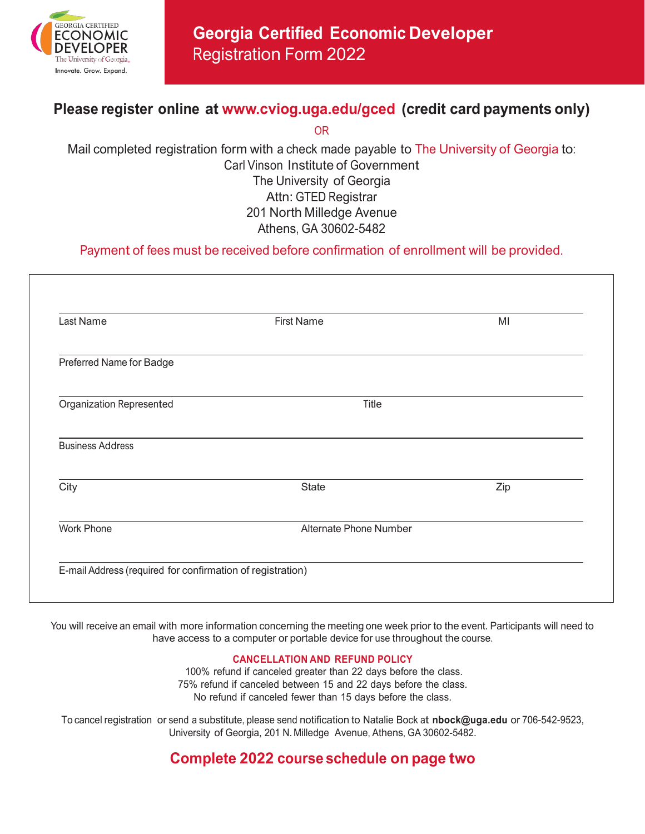

# **Georgia Certified Economic Developer** Registration Form 2022

## **Please register online at [www.cviog.uga.edu/gced](http://www.cviog.uga.edu/gced) (credit card payments only)**

OR

Mail completed registration form with a check made payable to The University of Georgia to: Carl Vinson Institute of Government The University of Georgia Attn: GTED Registrar 201 North Milledge Avenue Athens, GA 30602-5482

Payment of fees must be received before confirmation of enrollment will be provided.

| Last Name                       | <b>First Name</b>      | MI  |  |
|---------------------------------|------------------------|-----|--|
| Preferred Name for Badge        |                        |     |  |
| <b>Organization Represented</b> | Title                  |     |  |
| <b>Business Address</b>         |                        |     |  |
| City                            | <b>State</b>           | Zip |  |
| <b>Work Phone</b>               | Alternate Phone Number |     |  |

You will receive an email with more information concerning the meeting one week prior to the event. Participants will need to have access to a computer or portable device for use throughout the course.

#### **CANCELLATION AND REFUND POLICY**

 100% refund if canceled greater than 22 days before the class. 75% refund if canceled between 15 and 22 days before the class. No refund if canceled fewer than 15 days before the class.

To cancel registration or send a substitute, please send notification to Natalie Bock at **nbock[@uga.edu](mailto:kittys@uga.edu)** or 706-542-9523, University of Georgia, 201 N. Milledge Avenue, Athens, GA 30602-5482.

### **Complete 2022 course schedule on page two**